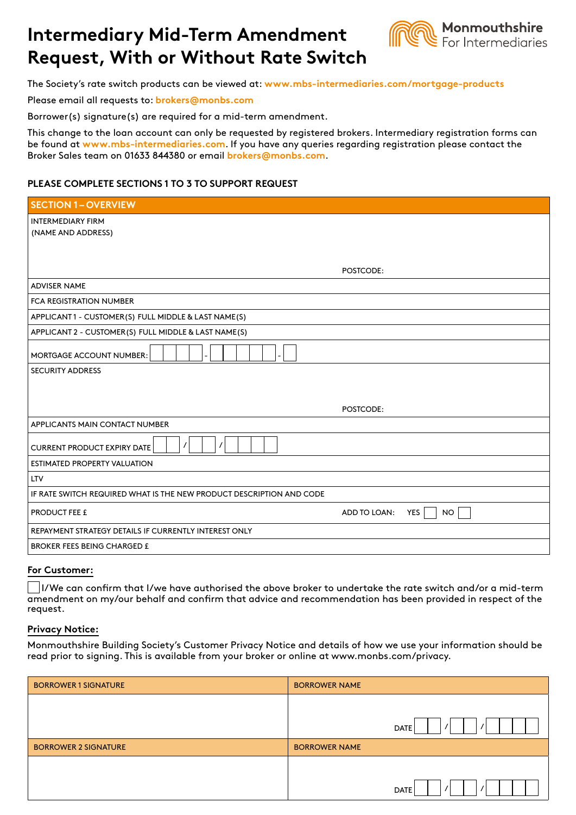# **Intermediary Mid-Term Amendment Request, With or Without Rate Switch**



The Society's rate switch products can be viewed at: **www.mbs-intermediaries.com/mortgage-products**

Please email all requests to: **brokers@monbs.com**

Borrower(s) signature(s) are required for a mid-term amendment.

This change to the loan account can only be requested by registered brokers. Intermediary registration forms can be found at **www.mbs-intermediaries.com**. If you have any queries regarding registration please contact the Broker Sales team on 01633 844380 or email **brokers@monbs.com**.

## **PLEASE COMPLETE SECTIONS 1 TO 3 TO SUPPORT REQUEST**

| <b>SECTION 1-OVERVIEW</b>                                            |  |  |
|----------------------------------------------------------------------|--|--|
| <b>INTERMEDIARY FIRM</b>                                             |  |  |
| (NAME AND ADDRESS)                                                   |  |  |
|                                                                      |  |  |
| POSTCODE:                                                            |  |  |
| <b>ADVISER NAME</b>                                                  |  |  |
| <b>FCA REGISTRATION NUMBER</b>                                       |  |  |
| APPLICANT1 - CUSTOMER(S) FULL MIDDLE & LAST NAME(S)                  |  |  |
| APPLICANT 2 - CUSTOMER(S) FULL MIDDLE & LAST NAME(S)                 |  |  |
| MORTGAGE ACCOUNT NUMBER:                                             |  |  |
| <b>SECURITY ADDRESS</b>                                              |  |  |
|                                                                      |  |  |
| POSTCODE:                                                            |  |  |
| APPLICANTS MAIN CONTACT NUMBER                                       |  |  |
|                                                                      |  |  |
| $\prime$<br>$\prime$<br><b>CURRENT PRODUCT EXPIRY DATE</b>           |  |  |
| <b>ESTIMATED PROPERTY VALUATION</b>                                  |  |  |
| <b>LTV</b>                                                           |  |  |
| IF RATE SWITCH REQUIRED WHAT IS THE NEW PRODUCT DESCRIPTION AND CODE |  |  |
| YES<br>PRODUCT FEE £<br>ADD TO LOAN:<br><b>NO</b>                    |  |  |
| REPAYMENT STRATEGY DETAILS IF CURRENTLY INTEREST ONLY                |  |  |
| <b>BROKER FEES BEING CHARGED £</b>                                   |  |  |

#### **For Customer:**

 I/We can confirm that I/we have authorised the above broker to undertake the rate switch and/or a mid-term amendment on my/our behalf and confirm that advice and recommendation has been provided in respect of the request.

## **Privacy Notice:**

Monmouthshire Building Society's Customer Privacy Notice and details of how we use your information should be read prior to signing. This is available from your broker or online at www.monbs.com/privacy.

| <b>BORROWER 1 SIGNATURE</b> | <b>BORROWER NAME</b>    |
|-----------------------------|-------------------------|
|                             |                         |
|                             | $\prime$<br><b>DATE</b> |
| <b>BORROWER 2 SIGNATURE</b> | <b>BORROWER NAME</b>    |
|                             |                         |
|                             | <b>DATE</b>             |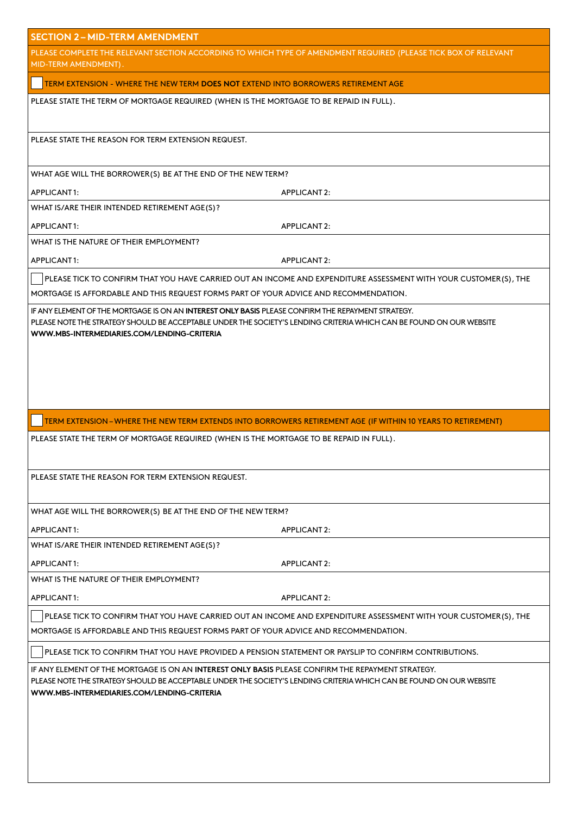| <b>SECTION 2-MID-TERM AMENDMENT</b>                                                                                                                                                                                                                                       |  |  |
|---------------------------------------------------------------------------------------------------------------------------------------------------------------------------------------------------------------------------------------------------------------------------|--|--|
| PLEASE COMPLETE THE RELEVANT SECTION ACCORDING TO WHICH TYPE OF AMENDMENT REQUIRED (PLEASE TICK BOX OF RELEVANT<br>MID-TERM AMENDMENT).                                                                                                                                   |  |  |
| TERM EXTENSION - WHERE THE NEW TERM DOES NOT EXTEND INTO BORROWERS RETIREMENT AGE                                                                                                                                                                                         |  |  |
| PLEASE STATE THE TERM OF MORTGAGE REQUIRED (WHEN IS THE MORTGAGE TO BE REPAID IN FULL).                                                                                                                                                                                   |  |  |
| PLEASE STATE THE REASON FOR TERM EXTENSION REQUEST.                                                                                                                                                                                                                       |  |  |
| WHAT AGE WILL THE BORROWER(S) BE AT THE END OF THE NEW TERM?                                                                                                                                                                                                              |  |  |
| APPLICANT1:<br><b>APPLICANT 2:</b>                                                                                                                                                                                                                                        |  |  |
| WHAT IS/ARE THEIR INTENDED RETIREMENT AGE(S)?                                                                                                                                                                                                                             |  |  |
| APPLICANT1:<br><b>APPLICANT 2:</b>                                                                                                                                                                                                                                        |  |  |
| WHAT IS THE NATURE OF THEIR EMPLOYMENT?                                                                                                                                                                                                                                   |  |  |
| APPLICANT1:<br><b>APPLICANT 2:</b>                                                                                                                                                                                                                                        |  |  |
| PLEASE TICK TO CONFIRM THAT YOU HAVE CARRIED OUT AN INCOME AND EXPENDITURE ASSESSMENT WITH YOUR CUSTOMER(S), THE                                                                                                                                                          |  |  |
| MORTGAGE IS AFFORDABLE AND THIS REQUEST FORMS PART OF YOUR ADVICE AND RECOMMENDATION.                                                                                                                                                                                     |  |  |
| IF ANY ELEMENT OF THE MORTGAGE IS ON AN INTEREST ONLY BASIS PLEASE CONFIRM THE REPAYMENT STRATEGY.<br>PLEASE NOTE THE STRATEGY SHOULD BE ACCEPTABLE UNDER THE SOCIETY'S LENDING CRITERIA WHICH CAN BE FOUND ON OUR WEBSITE<br>WWW.MBS-INTERMEDIARIES.COM/LENDING-CRITERIA |  |  |
|                                                                                                                                                                                                                                                                           |  |  |
|                                                                                                                                                                                                                                                                           |  |  |
|                                                                                                                                                                                                                                                                           |  |  |
|                                                                                                                                                                                                                                                                           |  |  |
| TERM EXTENSION - WHERE THE NEW TERM EXTENDS INTO BORROWERS RETIREMENT AGE (IF WITHIN 10 YEARS TO RETIREMENT)                                                                                                                                                              |  |  |
| PLEASE STATE THE TERM OF MORTGAGE REQUIRED (WHEN IS THE MORTGAGE TO BE REPAID IN FULL).                                                                                                                                                                                   |  |  |
| PLEASE STATE THE REASON FOR TERM EXTENSION REQUEST.                                                                                                                                                                                                                       |  |  |
| WHAT AGE WILL THE BORROWER(S) BE AT THE END OF THE NEW TERM?                                                                                                                                                                                                              |  |  |
| APPLICANT1:<br><b>APPLICANT 2:</b>                                                                                                                                                                                                                                        |  |  |
| WHAT IS/ARE THEIR INTENDED RETIREMENT AGE(S)?                                                                                                                                                                                                                             |  |  |
| APPLICANT1:<br><b>APPLICANT 2:</b>                                                                                                                                                                                                                                        |  |  |
| WHAT IS THE NATURE OF THEIR EMPLOYMENT?                                                                                                                                                                                                                                   |  |  |
| APPLICANT1:<br><b>APPLICANT 2:</b>                                                                                                                                                                                                                                        |  |  |
| PLEASE TICK TO CONFIRM THAT YOU HAVE CARRIED OUT AN INCOME AND EXPENDITURE ASSESSMENT WITH YOUR CUSTOMER(S), THE                                                                                                                                                          |  |  |
| MORTGAGE IS AFFORDABLE AND THIS REQUEST FORMS PART OF YOUR ADVICE AND RECOMMENDATION.                                                                                                                                                                                     |  |  |
| PLEASE TICK TO CONFIRM THAT YOU HAVE PROVIDED A PENSION STATEMENT OR PAYSLIP TO CONFIRM CONTRIBUTIONS.                                                                                                                                                                    |  |  |
| IF ANY ELEMENT OF THE MORTGAGE IS ON AN INTEREST ONLY BASIS PLEASE CONFIRM THE REPAYMENT STRATEGY.<br>PLEASE NOTE THE STRATEGY SHOULD BE ACCEPTABLE UNDER THE SOCIETY'S LENDING CRITERIA WHICH CAN BE FOUND ON OUR WEBSITE<br>WWW.MBS-INTERMEDIARIES.COM/LENDING-CRITERIA |  |  |
|                                                                                                                                                                                                                                                                           |  |  |
|                                                                                                                                                                                                                                                                           |  |  |
|                                                                                                                                                                                                                                                                           |  |  |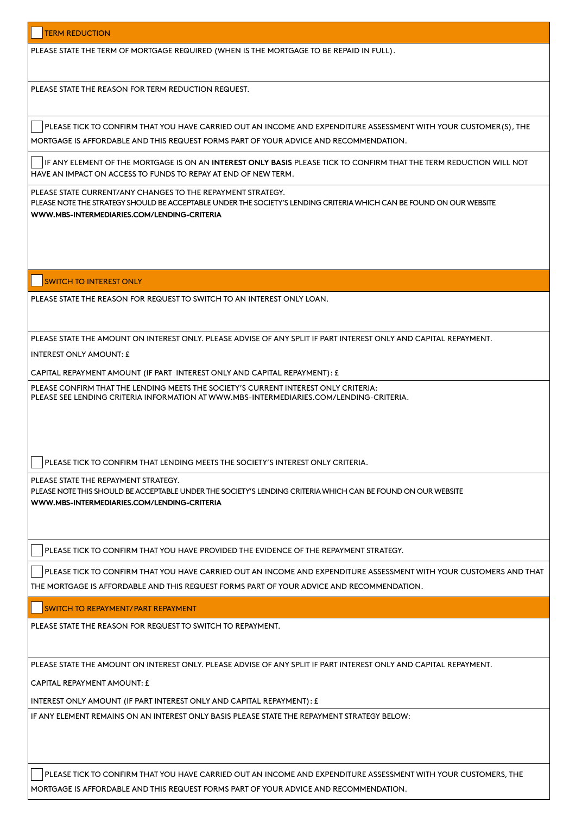PLEASE STATE THE TERM OF MORTGAGE REQUIRED (WHEN IS THE MORTGAGE TO BE REPAID IN FULL).

PLEASE STATE THE REASON FOR TERM REDUCTION REQUEST.

PLEASE TICK TO CONFIRM THAT YOU HAVE CARRIED OUT AN INCOME AND EXPENDITURE ASSESSMENT WITH YOUR CUSTOMER(S), THE MORTGAGE IS AFFORDABLE AND THIS REQUEST FORMS PART OF YOUR ADVICE AND RECOMMENDATION.

IF ANY ELEMENT OF THE MORTGAGE IS ON AN **INTEREST ONLY BASIS** PLEASE TICK TO CONFIRM THAT THE TERM REDUCTION WILL NOT HAVE AN IMPACT ON ACCESS TO FUNDS TO REPAY AT END OF NEW TERM.

PLEASE STATE CURRENT/ANY CHANGES TO THE REPAYMENT STRATEGY. PLEASE NOTE THE STRATEGY SHOULD BE ACCEPTABLE UNDER THE SOCIETY'S LENDING CRITERIA WHICH CAN BE FOUND ON OUR WEBSITE **WWW.MBS-INTERMEDIARIES.COM/LENDING-CRITERIA**

#### **SWITCH TO INTEREST ONLY**

PLEASE STATE THE REASON FOR REQUEST TO SWITCH TO AN INTEREST ONLY LOAN.

PLEASE STATE THE AMOUNT ON INTEREST ONLY. PLEASE ADVISE OF ANY SPLIT IF PART INTEREST ONLY AND CAPITAL REPAYMENT.

INTEREST ONLY AMOUNT: £

CAPITAL REPAYMENT AMOUNT (IF PART INTEREST ONLY AND CAPITAL REPAYMENT): £

PLEASE CONFIRM THAT THE LENDING MEETS THE SOCIETY'S CURRENT INTEREST ONLY CRITERIA: PLEASE SEE LENDING CRITERIA INFORMATION AT WWW.MBS-INTERMEDIARIES.COM/LENDING-CRITERIA.

PLEASE TICK TO CONFIRM THAT LENDING MEETS THE SOCIETY'S INTEREST ONLY CRITERIA.

PLEASE STATE THE REPAYMENT STRATEGY.

PLEASE NOTE THIS SHOULD BE ACCEPTABLE UNDER THE SOCIETY'S LENDING CRITERIA WHICH CAN BE FOUND ON OUR WEBSITE **WWW.MBS-INTERMEDIARIES.COM/LENDING-CRITERIA**

PLEASE TICK TO CONFIRM THAT YOU HAVE PROVIDED THE EVIDENCE OF THE REPAYMENT STRATEGY.

PLEASE TICK TO CONFIRM THAT YOU HAVE CARRIED OUT AN INCOME AND EXPENDITURE ASSESSMENT WITH YOUR CUSTOMERS AND THAT THE MORTGAGE IS AFFORDABLE AND THIS REQUEST FORMS PART OF YOUR ADVICE AND RECOMMENDATION.

SWITCH TO REPAYMENT/ PART REPAYMENT

PLEASE STATE THE REASON FOR REQUEST TO SWITCH TO REPAYMENT.

PLEASE STATE THE AMOUNT ON INTEREST ONLY. PLEASE ADVISE OF ANY SPLIT IF PART INTEREST ONLY AND CAPITAL REPAYMENT.

CAPITAL REPAYMENT AMOUNT F

INTEREST ONLY AMOUNT (IF PART INTEREST ONLY AND CAPITAL REPAYMENT): £

IF ANY ELEMENT REMAINS ON AN INTEREST ONLY BASIS PLEASE STATE THE REPAYMENT STRATEGY BELOW:

PLEASE TICK TO CONFIRM THAT YOU HAVE CARRIED OUT AN INCOME AND EXPENDITURE ASSESSMENT WITH YOUR CUSTOMERS, THE MORTGAGE IS AFFORDABLE AND THIS REQUEST FORMS PART OF YOUR ADVICE AND RECOMMENDATION.